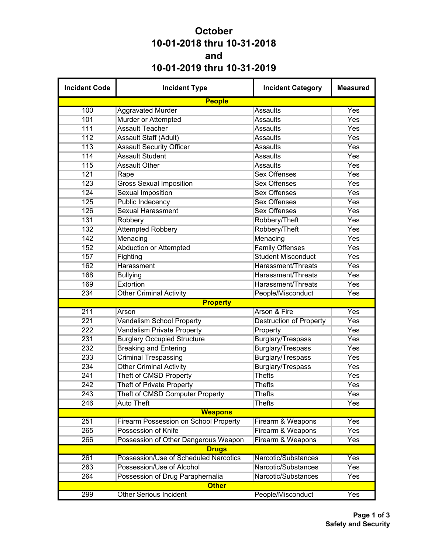## **October 10-01-2018 thru 10-31-2018 and 10-01-2019 thru 10-31-2019**

| <b>Incident Code</b> | <b>Incident Type</b>                         | <b>Incident Category</b>       | <b>Measured</b> |
|----------------------|----------------------------------------------|--------------------------------|-----------------|
|                      | <b>People</b>                                |                                |                 |
| 100                  | <b>Aggravated Murder</b>                     | Assaults                       | Yes             |
| 101                  | Murder or Attempted                          | <b>Assaults</b>                | Yes             |
| 111                  | <b>Assault Teacher</b>                       | <b>Assaults</b>                | Yes             |
| 112                  | Assault Staff (Adult)                        | <b>Assaults</b>                | Yes             |
| 113                  | <b>Assault Security Officer</b>              | <b>Assaults</b>                | Yes             |
| 114                  | <b>Assault Student</b>                       | <b>Assaults</b>                | Yes             |
| 115                  | <b>Assault Other</b>                         | <b>Assaults</b>                | Yes             |
| 121                  | Rape                                         | <b>Sex Offenses</b>            | Yes             |
| 123                  | <b>Gross Sexual Imposition</b>               | <b>Sex Offenses</b>            | Yes             |
| 124                  | <b>Sexual Imposition</b>                     | <b>Sex Offenses</b>            | Yes             |
| 125                  | Public Indecency                             | <b>Sex Offenses</b>            | Yes             |
| 126                  | <b>Sexual Harassment</b>                     | <b>Sex Offenses</b>            | Yes             |
| 131                  | Robbery                                      | Robbery/Theft                  | Yes             |
| 132                  | <b>Attempted Robbery</b>                     | Robbery/Theft                  | Yes             |
| 142                  | Menacing                                     | Menacing                       | Yes             |
| 152                  | <b>Abduction or Attempted</b>                | <b>Family Offenses</b>         | Yes             |
| 157                  | Fighting                                     | <b>Student Misconduct</b>      | Yes             |
| 162                  | Harassment                                   | Harassment/Threats             | Yes             |
| 168                  | <b>Bullying</b>                              | <b>Harassment/Threats</b>      | Yes             |
| 169                  | Extortion                                    | Harassment/Threats             | Yes             |
| 234                  | <b>Other Criminal Activity</b>               | People/Misconduct              | Yes             |
|                      | <b>Property</b>                              |                                |                 |
| 211                  | Arson                                        | Arson & Fire                   | Yes             |
| 221                  | <b>Vandalism School Property</b>             | <b>Destruction of Property</b> | Yes             |
| 222                  | <b>Vandalism Private Property</b>            | Property                       | Yes             |
| 231                  | <b>Burglary Occupied Structure</b>           | Burglary/Trespass              | Yes             |
| 232                  | <b>Breaking and Entering</b>                 | Burglary/Trespass              | Yes             |
| 233                  | <b>Criminal Trespassing</b>                  | <b>Burglary/Trespass</b>       | Yes             |
| 234                  | <b>Other Criminal Activity</b>               | Burglary/Trespass              | Yes             |
| 241                  | Theft of CMSD Property                       | <b>Thefts</b>                  | Yes             |
| 242                  | <b>Theft of Private Property</b>             | <b>Thefts</b>                  | Yes             |
| 243                  | Theft of CMSD Computer Property              | Thefts                         | Yes             |
| 246                  | <b>Auto Theft</b>                            | <b>Thefts</b>                  | Yes             |
|                      | <b>Weapons</b>                               |                                |                 |
| 251                  | <b>Firearm Possession on School Property</b> | Firearm & Weapons              | Yes             |
| 265                  | Possession of Knife                          | Firearm & Weapons              | Yes             |
| 266                  | Possession of Other Dangerous Weapon         | Firearm & Weapons              | Yes             |
|                      | <b>Drugs</b>                                 |                                |                 |
| 261                  | Possession/Use of Scheduled Narcotics        | Narcotic/Substances            | Yes             |
| 263                  | Possession/Use of Alcohol                    | Narcotic/Substances            | Yes             |
| 264                  | Possession of Drug Paraphernalia             | Narcotic/Substances            | Yes             |
|                      | <b>Other</b>                                 |                                |                 |
| 299                  | <b>Other Serious Incident</b>                | People/Misconduct              | Yes             |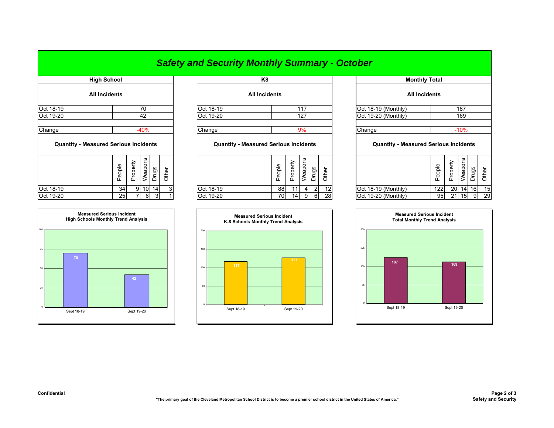## *Safety and Security Monthly Summary - October*

| High School                                  |               |          |         |        |       |
|----------------------------------------------|---------------|----------|---------|--------|-------|
| <b>All Incidents</b>                         |               |          |         |        |       |
| Oct 18-19                                    |               |          | 70      |        |       |
| Oct 19-20                                    |               |          | 42      |        |       |
| Change                                       |               |          | $-40%$  |        |       |
| <b>Quantity - Measured Serious Incidents</b> |               |          |         |        |       |
|                                              | People        | Property | Weapons | Drugs  | Other |
| Oct 18-19                                    | 34            | 9        | 10      | 14     | 3     |
| $-10.1000$                                   | $\sim$ $\sim$ | -        |         | $\sim$ |       |



|           |                      |           | .                    |                     |                      |  |  |
|-----------|----------------------|-----------|----------------------|---------------------|----------------------|--|--|
|           | <b>All Incidents</b> |           | <b>All Incidents</b> |                     | <b>All Incidents</b> |  |  |
| Oct 18-19 | 70                   | Oct 18-19 | 117                  | Oct 18-19 (Monthly) | 187                  |  |  |
| Oct 19-20 | 42                   | Oct 19-20 | 127                  | Oct 19-20 (Monthly) | 169                  |  |  |
| Change    | 40%                  | Change    | 9%                   | Change              | $-10%$               |  |  |
|           |                      |           |                      |                     |                      |  |  |

| <b>Quantity - Measured Serious Incidents</b> |                 |    |                 | <b>Quantity - Measured Serious Incidents</b> |              |           |                   | <b>Quantity - Measured Serious Incidents</b> |    |        |    |                     |            |             |                      |     |     |
|----------------------------------------------|-----------------|----|-----------------|----------------------------------------------|--------------|-----------|-------------------|----------------------------------------------|----|--------|----|---------------------|------------|-------------|----------------------|-----|-----|
| ÷<br>ப                                       |                 | ↗  | 2u              | gs                                           |              |           | Φ<br>हे<br>Φ<br>ட | ௨<br>௳                                       | ເບ | w<br>ত |    |                     | eople<br>௨ | ∽<br>৯<br>႕ | <b>S</b><br>မ္ပ<br>Φ | ვ.  |     |
| Oct 18-19                                    | 34              | 91 | 10 <sup>1</sup> | 14                                           | $\mathbf{3}$ | Oct 18-19 | 88                |                                              |    | ി      | 12 | Oct 18-19 (Monthly) | 122        |             | 20 14                | 16l | -15 |
| Oct 19-20                                    | 25 <sub>l</sub> |    | 6               |                                              |              | Oct 19-20 | 70                | 14                                           |    | 6      | 28 | Oct 19-20 (Monthly) | 951        | 21          | 15                   | 9   | 29  |



| <b>High School</b>                                        |        |          |                 |                |       |  | K <sub>8</sub> |                                              |        |                     |         |                | <b>Monthly Total</b> |                                                        |        |          |                 |       |       |
|-----------------------------------------------------------|--------|----------|-----------------|----------------|-------|--|----------------|----------------------------------------------|--------|---------------------|---------|----------------|----------------------|--------------------------------------------------------|--------|----------|-----------------|-------|-------|
|                                                           |        |          |                 |                |       |  |                | <b>All Incidents</b>                         |        |                     |         |                |                      | <b>All Incidents</b>                                   |        |          |                 |       |       |
| 70                                                        |        |          | Oct 18-19       |                |       |  | 117            |                                              |        | Oct 18-19 (Monthly) |         | 187            |                      |                                                        |        |          |                 |       |       |
| All Incidents<br>42<br>$-40%$<br>asured Serious Incidents |        |          | Oct 19-20       |                | 127   |  |                |                                              |        | Oct 19-20 (Monthly) |         | 169            |                      |                                                        |        |          |                 |       |       |
|                                                           |        |          |                 |                |       |  | Change         | <b>Quantity - Measured Serious Incidents</b> |        |                     | 9%      |                |                      | Change<br><b>Quantity - Measured Serious Incidents</b> |        |          | $-10%$          |       |       |
|                                                           |        |          |                 |                |       |  |                |                                              |        |                     |         |                |                      |                                                        |        |          |                 |       |       |
|                                                           | People | Property | Weapons         | Drugs          | Other |  |                |                                              | People | Property            | Weapons | Drugs          | Other                |                                                        | People | Property | Weapons         | Drugs | Other |
|                                                           | 34     | 9        | 10 <sup>1</sup> | 14             |       |  | Oct 18-19      |                                              | 88     | 11                  |         | $\overline{2}$ | 12                   | Oct 18-19 (Monthly)                                    | 122    | 20       | 14 16           |       | 15    |
|                                                           | 25     |          | 6               | $\overline{3}$ |       |  | Oct 19-20      |                                              | 70     | 14                  | 9       | 6              | 28                   | Oct 19-20 (Monthly)                                    | 95     | 21       | 15 <sub>l</sub> | 9     | 29    |